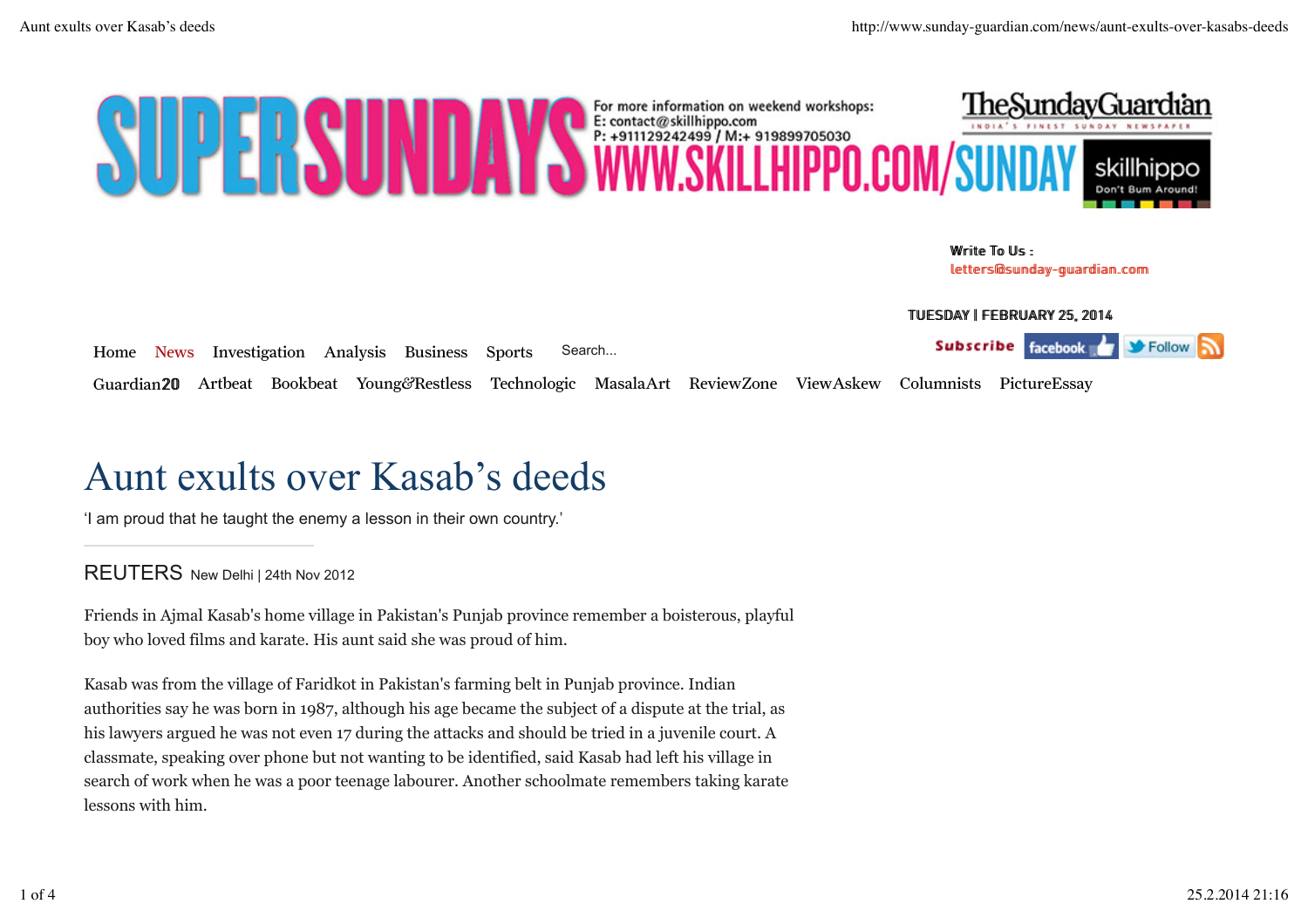

letters@sunday-quardian.com Write To Us:

**S**Follow

TUESDAY | FEBRUARY 25, 2014

Subscribe facebook Home News Investigation Analysis Business Sports Search... Guardian2200 Artbeat Bookbeat Young*&*Restless Technologic MasalaArt ReviewZone ViewAskew Columnists PictureEssay

## Aunt exults over Kasab's deeds

'I am proud that he taught the enemy a lesson in their own country.'

## REUTERS New Delhi | 24th Nov 2012

Friends in Ajmal Kasab's home village in Pakistan's Punjab province remember a boisterous, playful boy who loved films and karate. His aunt said she was proud of him.

Kasab was from the village of Faridkot in Pakistan's farming belt in Punjab province. Indian authorities say he was born in 1987, although his age became the subject of a dispute at the trial, as his lawyers argued he was not even 17 during the attacks and should be tried in a juvenile court. A classmate, speaking over phone but not wanting to be identified, said Kasab had left his village in search of work when he was a poor teenage labourer. Another schoolmate remembers taking karate lessons with him.